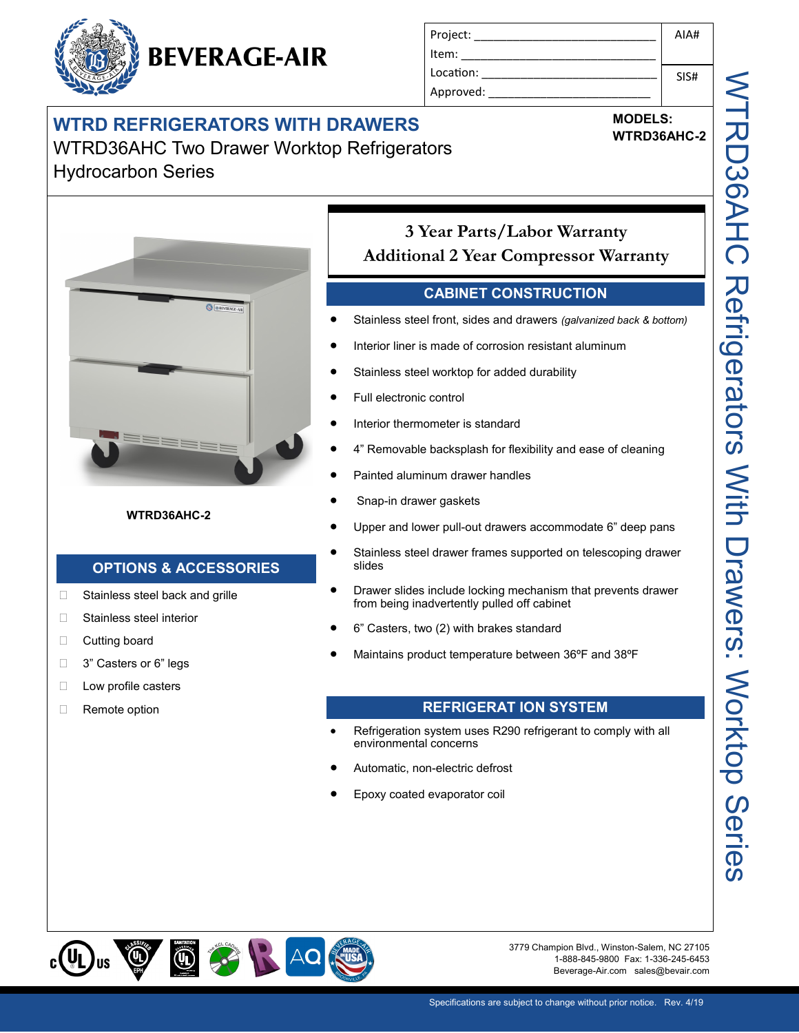|  | <b>BEVERAGE-AIR</b> |
|--|---------------------|
|--|---------------------|

| Project:  | AIA# |
|-----------|------|
| ltem:     |      |
| Location: | SIS# |
| Approved: |      |
|           |      |

### **WTRD REFRIGERATORS WITH DRAWERS** WTRD36AHC Two Drawer Worktop Refrigerators Hydrocarbon Series

#### **MODELS: WTRD36AHC-2**



#### **WTRD36AHC-2**

#### **OPTIONS & ACCESSORIES**

- □ Stainless steel back and grille
- □ Stainless steel interior
- □ Cutting board
- □ 3" Casters or 6" legs
- **Low profile casters**
- □ Remote option

#### **3 Year Parts/Labor Warranty Additional 2 Year Compressor Warranty**

#### **CABINET CONSTRUCTION**

- Stainless steel front, sides and drawers *(galvanized back & bottom)*
- Interior liner is made of corrosion resistant aluminum
- Stainless steel worktop for added durability
- Full electronic control
- Interior thermometer is standard
- 4" Removable backsplash for flexibility and ease of cleaning
- Painted aluminum drawer handles
- Snap-in drawer gaskets
- Upper and lower pull-out drawers accommodate 6" deep pans
- Stainless steel drawer frames supported on telescoping drawer slides
- Drawer slides include locking mechanism that prevents drawer from being inadvertently pulled off cabinet
- 6" Casters, two (2) with brakes standard
- Maintains product temperature between 36ºF and 38ºF

#### **REFRIGERAT ION SYSTEM**

- Refrigeration system uses R290 refrigerant to comply with all environmental concerns
- Automatic, non-electric defrost
- Epoxy coated evaporator coil



3779 Champion Blvd., Winston-Salem, NC 27105 1-888-845-9800 Fax: 1-336-245-6453 Beverage-Air.com sales@bevair.com